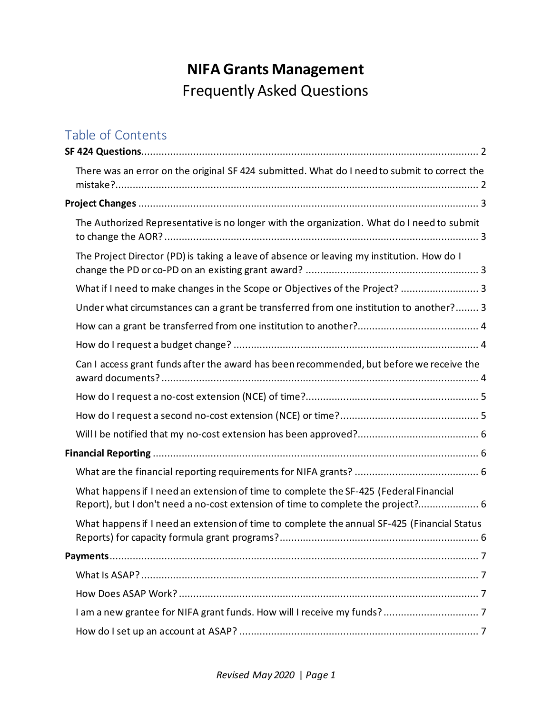# **NIFA Grants Management** Frequently Asked Questions

## Table of Contents

| There was an error on the original SF 424 submitted. What do I need to submit to correct the                                                                              |  |
|---------------------------------------------------------------------------------------------------------------------------------------------------------------------------|--|
|                                                                                                                                                                           |  |
| The Authorized Representative is no longer with the organization. What do I need to submit                                                                                |  |
| The Project Director (PD) is taking a leave of absence or leaving my institution. How do I                                                                                |  |
| What if I need to make changes in the Scope or Objectives of the Project?  3                                                                                              |  |
| Under what circumstances can a grant be transferred from one institution to another? 3                                                                                    |  |
|                                                                                                                                                                           |  |
|                                                                                                                                                                           |  |
| Can I access grant funds after the award has been recommended, but before we receive the                                                                                  |  |
|                                                                                                                                                                           |  |
|                                                                                                                                                                           |  |
|                                                                                                                                                                           |  |
|                                                                                                                                                                           |  |
|                                                                                                                                                                           |  |
| What happens if I need an extension of time to complete the SF-425 (Federal Financial<br>Report), but I don't need a no-cost extension of time to complete the project? 6 |  |
| What happens if I need an extension of time to complete the annual SF-425 (Financial Status                                                                               |  |
|                                                                                                                                                                           |  |
|                                                                                                                                                                           |  |
|                                                                                                                                                                           |  |
|                                                                                                                                                                           |  |
|                                                                                                                                                                           |  |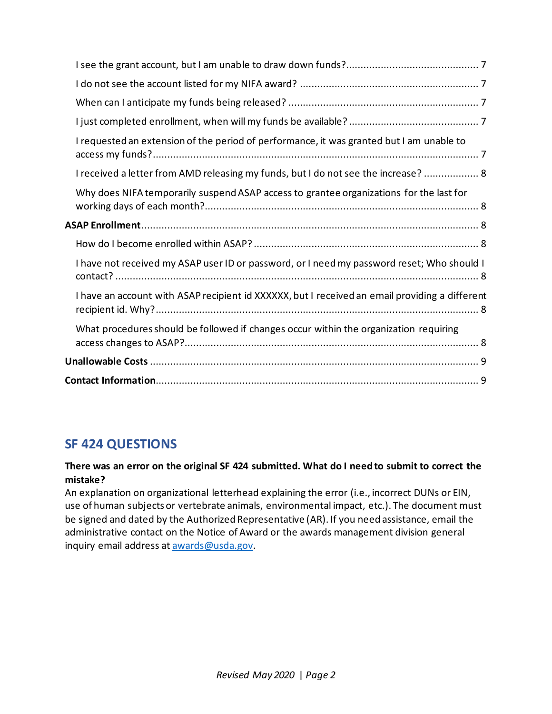| I requested an extension of the period of performance, it was granted but I am unable to       |
|------------------------------------------------------------------------------------------------|
| I received a letter from AMD releasing my funds, but I do not see the increase?  8             |
| Why does NIFA temporarily suspend ASAP access to grantee organizations for the last for        |
|                                                                                                |
|                                                                                                |
| I have not received my ASAP user ID or password, or I need my password reset; Who should I     |
| I have an account with ASAP recipient id XXXXXX, but I received an email providing a different |
| What procedures should be followed if changes occur within the organization requiring          |
|                                                                                                |
|                                                                                                |

## <span id="page-1-0"></span>**SF 424 QUESTIONS**

### <span id="page-1-1"></span>**There was an error on the original SF 424 submitted. What do I need to submit to correct the mistake?**

An explanation on organizational letterhead explaining the error (i.e., incorrect DUNs or EIN, use of human subjects or vertebrate animals, environmental impact, etc.). The document must be signed and dated by the Authorized Representative (AR). If you need assistance, email the administrative contact on the Notice of Award or the awards management division general inquiry email address at [awards@usda.gov.](mailto:awards@usda.gov)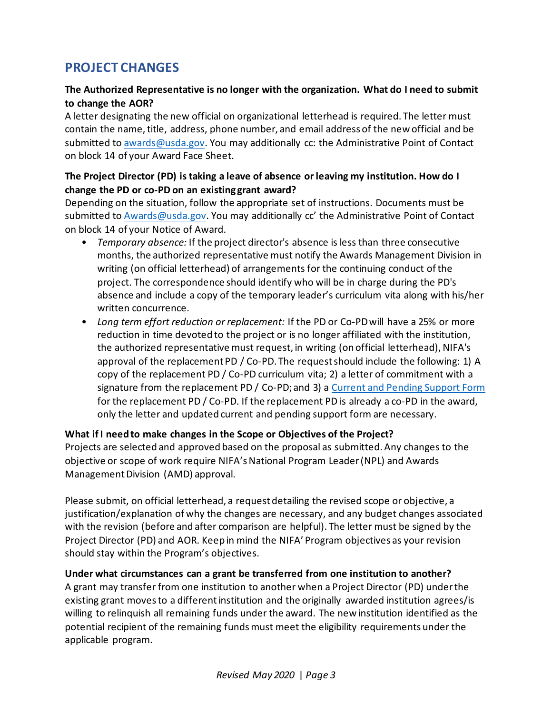## <span id="page-2-0"></span>**PROJECT CHANGES**

#### <span id="page-2-1"></span>**The Authorized Representative is no longer with the organization. What do I need to submit to change the AOR?**

A letter designating the new official on organizational letterhead is required. The letter must contain the name, title, address, phone number, and email address of the new official and be submitted t[o awards@usda.gov.](mailto:awards@usda.gov) You may additionally cc: the Administrative Point of Contact on block 14 of your Award Face Sheet.

#### <span id="page-2-2"></span>**The Project Director (PD) is taking a leave of absence or leaving my institution. How do I change the PD or co-PD on an existing grant award?**

Depending on the situation, follow the appropriate set of instructions. Documents must be submitted t[o Awards@usda.gov.](mailto:Awards@usda.gov) You may additionally cc' the Administrative Point of Contact on block 14 of your Notice of Award.

- *Temporary absence:* If the project director's absence is less than three consecutive months, the authorized representative must notify the Awards Management Division in writing (on official letterhead) of arrangements for the continuing conduct of the project. The correspondence should identify who will be in charge during the PD's absence and include a copy of the temporary leader's curriculum vita along with his/her written concurrence.
- *Long term effort reduction or replacement:* If the PD or Co-PDwill have a 25% or more reduction in time devoted to the project or is no longer affiliated with the institution, the authorized representative must request, in writing (on official letterhead), NIFA's approval of the replacement PD / Co-PD. The request should include the following: 1) A copy of the replacement PD / Co-PD curriculum vita; 2) a letter of commitment with a signature from the replacement PD / Co-PD; and 3) a [Current and Pending Support Form](https://nifa.usda.gov/resource/application-support-templates) for the replacement PD / Co-PD. If the replacement PD is already a co-PD in the award, only the letter and updated current and pending support form are necessary.

#### <span id="page-2-3"></span>**What if I need to make changes in the Scope or Objectives of the Project?**

Projects are selected and approved based on the proposal as submitted. Any changes to the objective or scope of work require NIFA's National Program Leader (NPL) and Awards Management Division (AMD) approval.

Please submit, on official letterhead, a request detailing the revised scope or objective, a justification/explanation of why the changes are necessary, and any budget changes associated with the revision (before and after comparison are helpful). The letter must be signed by the Project Director (PD) and AOR. Keep in mind the NIFA' Program objectives as your revision should stay within the Program's objectives.

#### <span id="page-2-4"></span>**Under what circumstances can a grant be transferred from one institution to another?**

A grant may transfer from one institution to another when a Project Director (PD) under the existing grant moves to a different institution and the originally awarded institution agrees/is willing to relinquish all remaining funds under the award. The new institution identified as the potential recipient of the remaining funds must meet the eligibility requirements under the applicable program.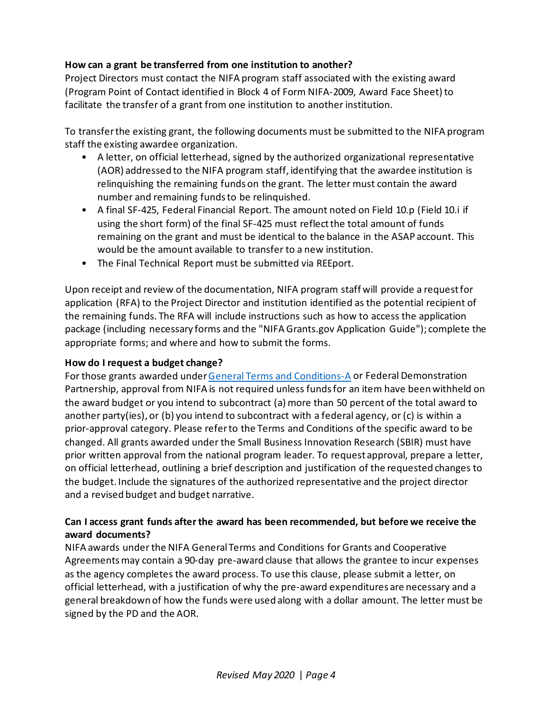#### <span id="page-3-0"></span>**How can a grant be transferred from one institution to another?**

Project Directors must contact the NIFA program staff associated with the existing award (Program Point of Contact identified in Block 4 of Form NIFA-2009, Award Face Sheet) to facilitate the transfer of a grant from one institution to another institution.

To transfer the existing grant, the following documents must be submitted to the NIFA program staff the existing awardee organization.

- A letter, on official letterhead, signed by the authorized organizational representative (AOR) addressed to the NIFA program staff, identifying that the awardee institution is relinquishing the remaining funds on the grant. The letter must contain the award number and remaining funds to be relinquished.
- A final SF-425, Federal Financial Report. The amount noted on Field 10.p (Field 10.i if using the short form) of the final SF-425 must reflect the total amount of funds remaining on the grant and must be identical to the balance in the ASAP account. This would be the amount available to transfer to a new institution.
- The Final Technical Report must be submitted via REEport.

Upon receipt and review of the documentation, NIFA program staff will provide a request for application (RFA) to the Project Director and institution identified as the potential recipient of the remaining funds. The RFA will include instructions such as how to access the application package (including necessary forms and the "NIFA Grants.gov Application Guide"); complete the appropriate forms; and where and how to submit the forms.

#### <span id="page-3-1"></span>**How do I request a budget change?**

For those grants awarded unde[r General Terms and Conditions-A](https://nifa.usda.gov/terms-and-conditions) or Federal Demonstration Partnership, approval from NIFA is not required unless funds for an item have been withheld on the award budget or you intend to subcontract (a) more than 50 percent of the total award to another party(ies), or (b) you intend to subcontract with a federal agency, or (c) is within a prior-approval category. Please refer to the Terms and Conditions of the specific award to be changed. All grants awarded under the Small Business Innovation Research (SBIR) must have prior written approval from the national program leader. To request approval, prepare a letter, on official letterhead, outlining a brief description and justification of the requested changes to the budget. Include the signatures of the authorized representative and the project director and a revised budget and budget narrative.

#### <span id="page-3-2"></span>**Can I access grant funds after the award has been recommended, but before we receive the award documents?**

NIFA awards under the NIFA General Terms and Conditions for Grants and Cooperative Agreementsmay contain a 90-day pre-award clause that allows the grantee to incur expenses as the agency completes the award process. To use this clause, please submit a letter, on official letterhead, with a justification of why the pre-award expenditures are necessary and a general breakdown of how the funds were used along with a dollar amount. The letter must be signed by the PD and the AOR.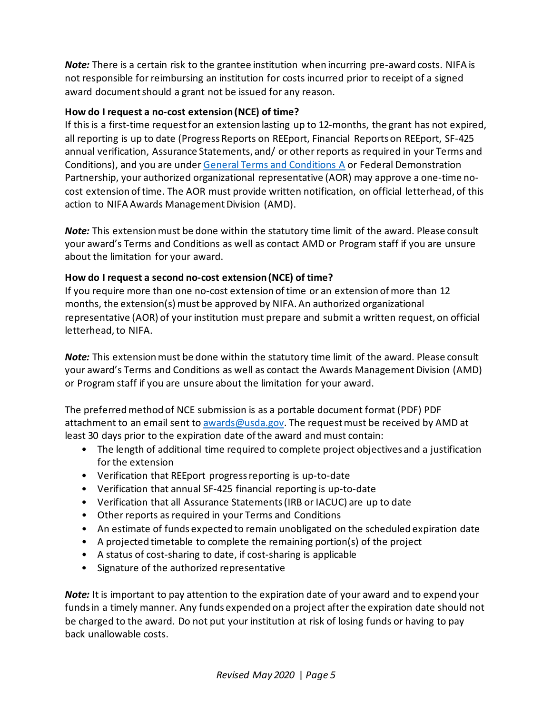*Note:* There is a certain risk to the grantee institution when incurring pre-award costs. NIFA is not responsible for reimbursing an institution for costs incurred prior to receipt of a signed award document should a grant not be issued for any reason.

#### <span id="page-4-0"></span>**How do I request a no-cost extension (NCE) of time?**

If this is a first-time request for an extension lasting up to 12-months, the grant has not expired, all reporting is up to date (Progress Reports on REEport, Financial Reports on REEport, SF-425 annual verification, Assurance Statements, and/ or other reports as required in your Terms and Conditions), and you are under [General Terms and Conditions A](https://nifa.usda.gov/terms-and-conditions) or Federal Demonstration Partnership, your authorized organizational representative (AOR) may approve a one-time nocost extension of time. The AOR must provide written notification, on official letterhead, of this action to NIFA Awards Management Division (AMD).

*Note:* This extension must be done within the statutory time limit of the award. Please consult your award's Terms and Conditions as well as contact AMD or Program staff if you are unsure about the limitation for your award.

#### <span id="page-4-1"></span>**How do I request a second no-cost extension (NCE) of time?**

If you require more than one no-cost extension of time or an extension of more than 12 months, the extension(s) must be approved by NIFA. An authorized organizational representative (AOR) of your institution must prepare and submit a written request, on official letterhead, to NIFA.

*Note:* This extension must be done within the statutory time limit of the award. Please consult your award's Terms and Conditions as well as contact the Awards Management Division (AMD) or Program staff if you are unsure about the limitation for your award.

The preferred method of NCE submission is as a portable document format (PDF) PDF attachment to an email sent t[o awards@usda.gov.](mailto:awards@usda.gov) The request must be received by AMD at least 30 days prior to the expiration date of the award and must contain:

- The length of additional time required to complete project objectives and a justification for the extension
- Verification that REEport progress reporting is up-to-date
- Verification that annual SF-425 financial reporting is up-to-date
- Verification that all Assurance Statements (IRB or IACUC) are up to date
- Other reports as required in your Terms and Conditions
- An estimate of funds expected to remain unobligated on the scheduled expiration date
- A projected timetable to complete the remaining portion(s) of the project
- A status of cost-sharing to date, if cost-sharing is applicable
- Signature of the authorized representative

*Note:* It is important to pay attention to the expiration date of your award and to expend your funds in a timely manner. Any funds expended on a project after the expiration date should not be charged to the award. Do not put your institution at risk of losing funds or having to pay back unallowable costs.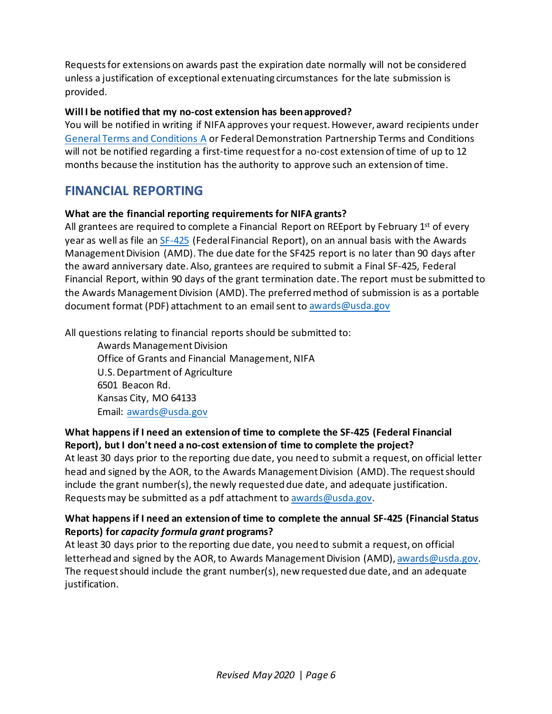Requests for extensions on awards past the expiration date normally will not be considered unless a justification of exceptional extenuating circumstances for the late submission is provided.

#### <span id="page-5-0"></span>**Will I be notified that my no-cost extension has been approved?**

You will be notified in writing if NIFA approves your request. However, award recipients under [General Terms and Conditions A](https://nifa.usda.gov/terms-and-conditions) or Federal Demonstration Partnership Terms and Conditions will not be notified regarding a first-time request for a no-cost extension of time of up to 12 months because the institution has the authority to approve such an extension of time.

### <span id="page-5-1"></span>**FINANCIAL REPORTING**

#### <span id="page-5-2"></span>**What are the financial reporting requirements for NIFA grants?**

All grantees are required to complete a Financial Report on REEport by February 1<sup>st</sup> of every year as well as file a[n SF-425](http://www.nifa.usda.gov/home/SF-425.pdf) (Federal Financial Report), on an annual basis with the Awards Management Division (AMD). The due date for the SF425 report is no later than 90 days after the award anniversary date. Also, grantees are required to submit a Final SF-425, Federal Financial Report, within 90 days of the grant termination date. The report must be submitted to the Awards Management Division (AMD). The preferred method of submission is as a portable document format (PDF) attachment to an email sent to [awards@usda.gov](mailto:awards@usda.gov)

All questions relating to financial reports should be submitted to:

Awards Management Division Office of Grants and Financial Management, NIFA U.S. Department of Agriculture 6501 Beacon Rd. Kansas City, MO 64133 Email: [awards@usda.gov](mailto:awards@usda.gov)

#### <span id="page-5-3"></span>**What happens if I need an extension of time to complete the SF-425 (Federal Financial Report), but I don't need a no-cost extension of time to complete the project?**

At least 30 days prior to the reporting due date, you need to submit a request, on official letter head and signed by the AOR, to the Awards Management Division (AMD). The request should include the grant number(s), the newly requested due date, and adequate justification. Requests may be submitted as a pdf attachment to [awards@usda.gov.](mailto:awards@usda.gov)

#### <span id="page-5-4"></span>**What happens if I need an extension of time to complete the annual SF-425 (Financial Status Reports) for** *capacity formula grant* **programs?**

At least 30 days prior to the reporting due date, you need to submit a request, on official letterhead and signed by the AOR, to Awards Management Division (AMD), [awards@usda.gov.](mailto:awards@usda.gov) The request should include the grant number(s), new requested due date, and an adequate justification.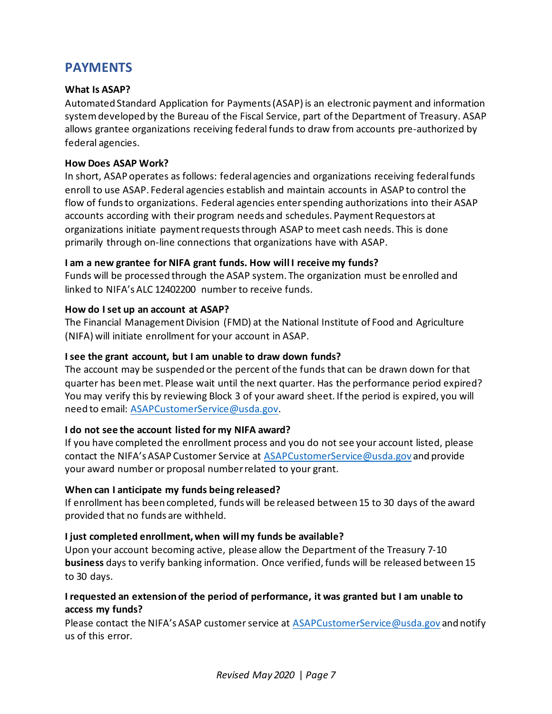## <span id="page-6-0"></span>**PAYMENTS**

#### <span id="page-6-1"></span>**What Is ASAP?**

Automated Standard Application for Payments (ASAP) is an electronic payment and information systemdeveloped by the Bureau of the Fiscal Service, part of the Department of Treasury. ASAP allows grantee organizations receiving federal funds to draw from accounts pre-authorized by federal agencies.

#### <span id="page-6-2"></span>**How Does ASAP Work?**

In short, ASAP operates as follows: federal agencies and organizations receiving federal funds enroll to use ASAP. Federal agencies establish and maintain accounts in ASAP to control the flow of funds to organizations. Federal agencies enter spending authorizations into their ASAP accounts according with their program needs and schedules. Payment Requestors at organizations initiate payment requests through ASAP to meet cash needs. This is done primarily through on-line connections that organizations have with ASAP.

#### <span id="page-6-3"></span>**I am a new grantee for NIFA grant funds. How will I receive my funds?**

Funds will be processed through the ASAP system. The organization must be enrolled and linked to NIFA's ALC 12402200 number to receive funds.

#### <span id="page-6-4"></span>**How do I set up an account at ASAP?**

The Financial Management Division (FMD) at the National Institute of Food and Agriculture (NIFA) will initiate enrollment for your account in ASAP.

#### <span id="page-6-5"></span>**I see the grant account, but I am unable to draw down funds?**

The account may be suspended or the percent of the funds that can be drawn down for that quarter has beenmet. Please wait until the next quarter. Has the performance period expired? You may verify this by reviewing Block 3 of your award sheet. If the period is expired, you will need to email: [ASAPCustomerService@usda.gov.](mailto:ASAPCustomerService@usda.gov)

#### <span id="page-6-6"></span>**I do not see the account listed for my NIFA award?**

If you have completed the enrollment process and you do not see your account listed, please contact the NIFA's ASAP Customer Service at [ASAPCustomerService@usda.gov](mailto:ASAPCustomerService@usda.gov) and provide your award number or proposal number related to your grant.

#### <span id="page-6-7"></span>**When can I anticipate my funds being released?**

If enrollment has been completed, funds will be released between 15 to 30 days of the award provided that no funds are withheld.

#### <span id="page-6-8"></span>**I just completed enrollment, when will my funds be available?**

Upon your account becoming active, please allow the Department of the Treasury 7-10 **business** days to verify banking information. Once verified, funds will be released between 15 to 30 days.

#### <span id="page-6-9"></span>**I requested an extension of the period of performance, it was granted but I am unable to access my funds?**

Please contact the NIFA's ASAP customer service at [ASAPCustomerService@usda.gov](mailto:ASAPCustomerService@usda.gov) and notify us of this error.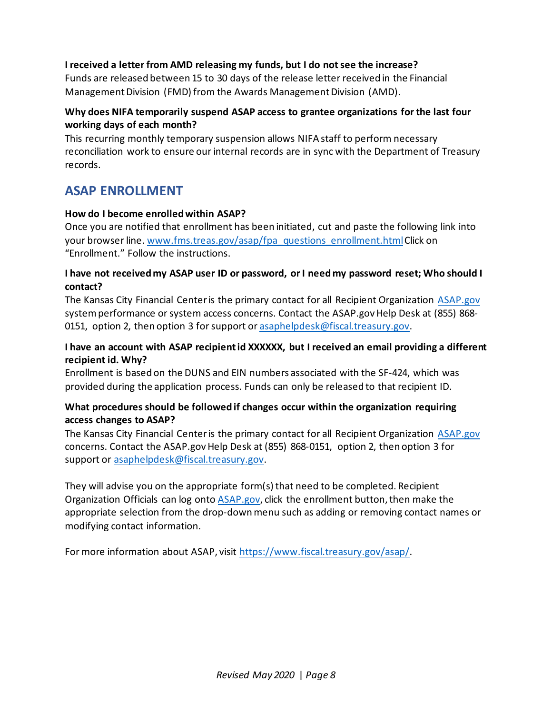#### <span id="page-7-0"></span>**I received a letter from AMD releasing my funds, but I do not see the increase?**

Funds are released between 15 to 30 days of the release letter received in the Financial Management Division (FMD) from the Awards Management Division (AMD).

#### <span id="page-7-1"></span>**Why does NIFA temporarily suspend ASAP access to grantee organizations for the last four working days of each month?**

This recurring monthly temporary suspension allows NIFA staff to perform necessary reconciliation work to ensure our internal records are in sync with the Department of Treasury records.

### <span id="page-7-2"></span>**ASAP ENROLLMENT**

#### <span id="page-7-3"></span>**How do I become enrolled within ASAP?**

Once you are notified that enrollment has been initiated, cut and paste the following link into your browser line. [www.fms.treas.gov/asap/fpa\\_questions\\_enrollment.html](http://www.fms.treas.gov/asap/fpa_questions_enrollment.html)Click on "Enrollment." Follow the instructions.

#### <span id="page-7-4"></span>**I have not received my ASAP user ID or password, or I need my password reset; Who should I contact?**

The Kansas City Financial Center is the primary contact for all Recipient Organization [ASAP.gov](https://www.asap.gov/) system performance or system access concerns. Contact the ASAP.gov Help Desk at (855) 868- 0151, option 2, then option 3 for support or [asaphelpdesk@fiscal.treasury.gov.](mailto:asaphelpdesk@fiscal.treasury.gov)

#### <span id="page-7-5"></span>**I have an account with ASAP recipient id XXXXXX, but I received an email providing a different recipient id. Why?**

Enrollment is based on the DUNS and EIN numbers associated with the SF-424, which was provided during the application process. Funds can only be released to that recipient ID.

#### <span id="page-7-6"></span>**What procedures should be followed if changes occur within the organization requiring access changes to ASAP?**

The Kansas City Financial Center is the primary contact for all Recipient Organization [ASAP.gov](https://www.asap.gov/) concerns. Contact the ASAP.gov Help Desk at (855) 868-0151, option 2, then option 3 for support or [asaphelpdesk@fiscal.treasury.gov.](mailto:asaphelpdesk@fiscal.treasury.gov)

They will advise you on the appropriate form(s) that need to be completed. Recipient Organization Officials can log onto [ASAP.gov,](https://www.asap.gov/) click the enrollment button, then make the appropriate selection from the drop-down menu such as adding or removing contact names or modifying contact information.

For more information about ASAP, visit [https://www.fiscal.treasury.gov/asap/.](https://www.fiscal.treasury.gov/asap/)